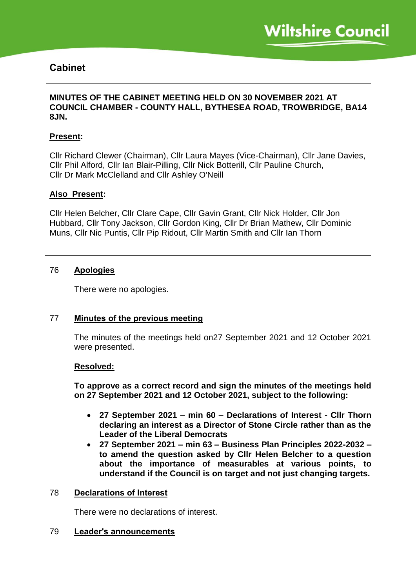# **Cabinet**

## **MINUTES OF THE CABINET MEETING HELD ON 30 NOVEMBER 2021 AT COUNCIL CHAMBER - COUNTY HALL, BYTHESEA ROAD, TROWBRIDGE, BA14 8JN.**

#### **Present:**

Cllr Richard Clewer (Chairman), Cllr Laura Mayes (Vice-Chairman), Cllr Jane Davies, Cllr Phil Alford, Cllr Ian Blair-Pilling, Cllr Nick Botterill, Cllr Pauline Church, Cllr Dr Mark McClelland and Cllr Ashley O'Neill

#### **Also Present:**

Cllr Helen Belcher, Cllr Clare Cape, Cllr Gavin Grant, Cllr Nick Holder, Cllr Jon Hubbard, Cllr Tony Jackson, Cllr Gordon King, Cllr Dr Brian Mathew, Cllr Dominic Muns, Cllr Nic Puntis, Cllr Pip Ridout, Cllr Martin Smith and Cllr Ian Thorn

## 76 **Apologies**

There were no apologies.

## 77 **Minutes of the previous meeting**

The minutes of the meetings held on27 September 2021 and 12 October 2021 were presented.

#### **Resolved:**

**To approve as a correct record and sign the minutes of the meetings held on 27 September 2021 and 12 October 2021, subject to the following:**

- **27 September 2021 – min 60 – Declarations of Interest - Cllr Thorn declaring an interest as a Director of Stone Circle rather than as the Leader of the Liberal Democrats**
- **27 September 2021 – min 63 – Business Plan Principles 2022-2032 – to amend the question asked by Cllr Helen Belcher to a question about the importance of measurables at various points, to understand if the Council is on target and not just changing targets.**

#### 78 **Declarations of Interest**

There were no declarations of interest.

#### 79 **Leader's announcements**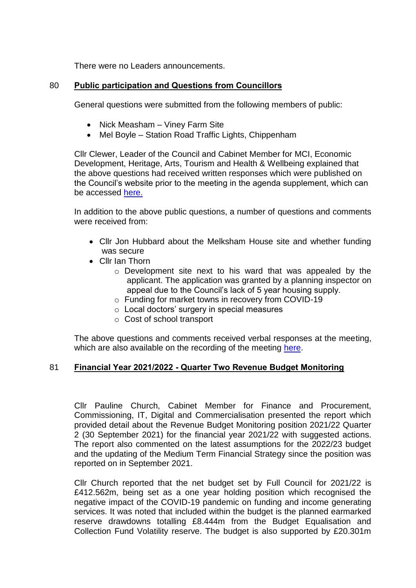There were no Leaders announcements.

## 80 **Public participation and Questions from Councillors**

General questions were submitted from the following members of public:

- Nick Measham Viney Farm Site
- Mel Boyle Station Road Traffic Lights, Chippenham

Cllr Clewer, Leader of the Council and Cabinet Member for MCI, Economic Development, Heritage, Arts, Tourism and Health & Wellbeing explained that the above questions had received written responses which were published on the Council's website prior to the meeting in the agenda supplement, which can be accessed [here.](https://cms.wiltshire.gov.uk/ieListDocuments.aspx?CId=141&MId=13773&Ver=4)

In addition to the above public questions, a number of questions and comments were received from:

- Cllr Jon Hubbard about the Melksham House site and whether funding was secure
- Cllr Ian Thorn
	- o Development site next to his ward that was appealed by the applicant. The application was granted by a planning inspector on appeal due to the Council's lack of 5 year housing supply.
	- o Funding for market towns in recovery from COVID-19
	- o Local doctors' surgery in special measures
	- o Cost of school transport

The above questions and comments received verbal responses at the meeting, which are also available on the recording of the meeting [here.](https://cms.wiltshire.gov.uk/ieListDocuments.aspx?CId=141&MId=13773&Ver=4)

## 81 **Financial Year 2021/2022 - Quarter Two Revenue Budget Monitoring**

Cllr Pauline Church, Cabinet Member for Finance and Procurement, Commissioning, IT, Digital and Commercialisation presented the report which provided detail about the Revenue Budget Monitoring position 2021/22 Quarter 2 (30 September 2021) for the financial year 2021/22 with suggested actions. The report also commented on the latest assumptions for the 2022/23 budget and the updating of the Medium Term Financial Strategy since the position was reported on in September 2021.

Cllr Church reported that the net budget set by Full Council for 2021/22 is £412.562m, being set as a one year holding position which recognised the negative impact of the COVID-19 pandemic on funding and income generating services. It was noted that included within the budget is the planned earmarked reserve drawdowns totalling £8.444m from the Budget Equalisation and Collection Fund Volatility reserve. The budget is also supported by £20.301m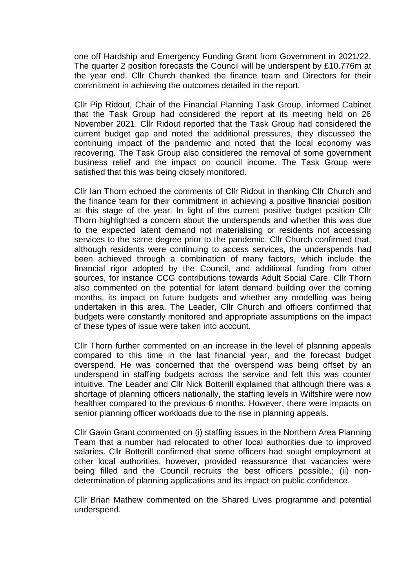one off Hardship and Emergency Funding Grant from Government in 2021/22. The quarter 2 position forecasts the Council will be underspent by £10.776m at the year end. Cllr Church thanked the finance team and Directors for their commitment in achieving the outcomes detailed in the report.

Cllr Pip Ridout, Chair of the Financial Planning Task Group, informed Cabinet that the Task Group had considered the report at its meeting held on 26 November 2021. Cllr Ridout reported that the Task Group had considered the current budget gap and noted the additional pressures, they discussed the continuing impact of the pandemic and noted that the local economy was recovering. The Task Group also considered the removal of some government business relief and the impact on council income. The Task Group were satisfied that this was being closely monitored.

Cllr Ian Thorn echoed the comments of Cllr Ridout in thanking Cllr Church and the finance team for their commitment in achieving a positive financial position at this stage of the year. In light of the current positive budget position Cllr Thorn highlighted a concern about the underspends and whether this was due to the expected latent demand not materialising or residents not accessing services to the same degree prior to the pandemic. Cllr Church confirmed that, although residents were continuing to access services, the underspends had been achieved through a combination of many factors, which include the financial rigor adopted by the Council, and additional funding from other sources, for instance CCG contributions towards Adult Social Care. Cllr Thorn also commented on the potential for latent demand building over the coming months, its impact on future budgets and whether any modelling was being undertaken in this area. The Leader, Cllr Church and officers confirmed that budgets were constantly monitored and appropriate assumptions on the impact of these types of issue were taken into account.

Cllr Thorn further commented on an increase in the level of planning appeals compared to this time in the last financial year, and the forecast budget overspend. He was concerned that the overspend was being offset by an underspend in staffing budgets across the service and felt this was counter intuitive. The Leader and Cllr Nick Botterill explained that although there was a shortage of planning officers nationally, the staffing levels in Wiltshire were now healthier compared to the previous 6 months. However, there were impacts on senior planning officer workloads due to the rise in planning appeals.

Cllr Gavin Grant commented on (i) staffing issues in the Northern Area Planning Team that a number had relocated to other local authorities due to improved salaries. Cllr Botterill confirmed that some officers had sought employment at other local authorities, however, provided reassurance that vacancies were being filled and the Council recruits the best officers possible.; (ii) nondetermination of planning applications and its impact on public confidence.

Cllr Brian Mathew commented on the Shared Lives programme and potential underspend.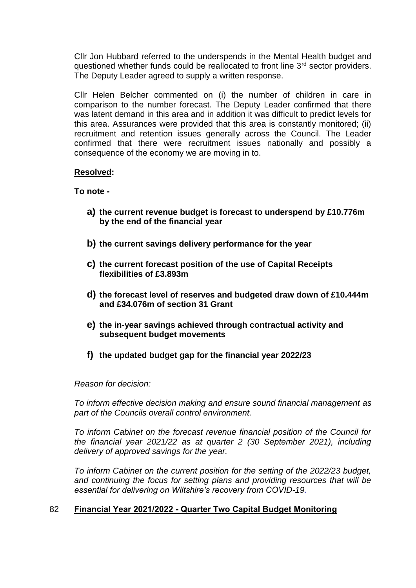Cllr Jon Hubbard referred to the underspends in the Mental Health budget and questioned whether funds could be reallocated to front line  $3<sup>rd</sup>$  sector providers. The Deputy Leader agreed to supply a written response.

Cllr Helen Belcher commented on (i) the number of children in care in comparison to the number forecast. The Deputy Leader confirmed that there was latent demand in this area and in addition it was difficult to predict levels for this area. Assurances were provided that this area is constantly monitored; (ii) recruitment and retention issues generally across the Council. The Leader confirmed that there were recruitment issues nationally and possibly a consequence of the economy we are moving in to.

## **Resolved:**

## **To note -**

- **a) the current revenue budget is forecast to underspend by £10.776m by the end of the financial year**
- **b) the current savings delivery performance for the year**
- **c) the current forecast position of the use of Capital Receipts flexibilities of £3.893m**
- **d) the forecast level of reserves and budgeted draw down of £10.444m and £34.076m of section 31 Grant**
- **e) the in-year savings achieved through contractual activity and subsequent budget movements**
- **f) the updated budget gap for the financial year 2022/23**

#### *Reason for decision:*

*To inform effective decision making and ensure sound financial management as part of the Councils overall control environment.*

*To inform Cabinet on the forecast revenue financial position of the Council for the financial year 2021/22 as at quarter 2 (30 September 2021), including delivery of approved savings for the year.* 

*To inform Cabinet on the current position for the setting of the 2022/23 budget, and continuing the focus for setting plans and providing resources that will be essential for delivering on Wiltshire's recovery from COVID-19.*

## 82 **Financial Year 2021/2022 - Quarter Two Capital Budget Monitoring**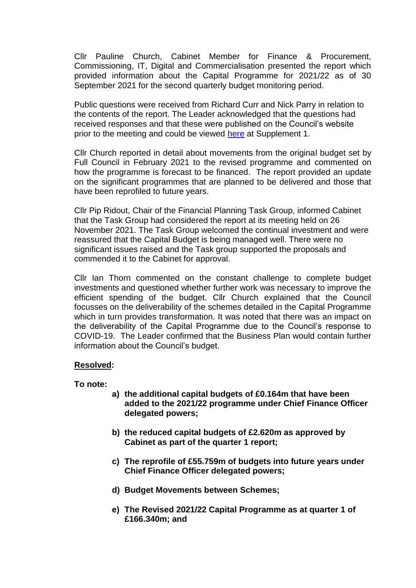Cllr Pauline Church, Cabinet Member for Finance & Procurement, Commissioning, IT, Digital and Commercialisation presented the report which provided information about the Capital Programme for 2021/22 as of 30 September 2021 for the second quarterly budget monitoring period.

Public questions were received from Richard Curr and Nick Parry in relation to the contents of the report. The Leader acknowledged that the questions had received responses and that these were published on the Council's website prior to the meeting and could be viewed [here](https://cms.wiltshire.gov.uk/ieListDocuments.aspx?CId=141&MId=13773&Ver=4) at Supplement 1.

Cllr Church reported in detail about movements from the original budget set by Full Council in February 2021 to the revised programme and commented on how the programme is forecast to be financed. The report provided an update on the significant programmes that are planned to be delivered and those that have been reprofiled to future years.

Cllr Pip Ridout, Chair of the Financial Planning Task Group, informed Cabinet that the Task Group had considered the report at its meeting held on 26 November 2021. The Task Group welcomed the continual investment and were reassured that the Capital Budget is being managed well. There were no significant issues raised and the Task group supported the proposals and commended it to the Cabinet for approval.

Cllr Ian Thorn commented on the constant challenge to complete budget investments and questioned whether further work was necessary to improve the efficient spending of the budget. Cllr Church explained that the Council focusses on the deliverability of the schemes detailed in the Capital Programme which in turn provides transformation. It was noted that there was an impact on the deliverability of the Capital Programme due to the Council's response to COVID-19. The Leader confirmed that the Business Plan would contain further information about the Council's budget.

#### **Resolved:**

**To note:**

- **a) the additional capital budgets of £0.164m that have been added to the 2021/22 programme under Chief Finance Officer delegated powers;**
- **b) the reduced capital budgets of £2.620m as approved by Cabinet as part of the quarter 1 report;**
- **c) The reprofile of £55.759m of budgets into future years under Chief Finance Officer delegated powers;**
- **d) Budget Movements between Schemes;**
- **e) The Revised 2021/22 Capital Programme as at quarter 1 of £166.340m; and**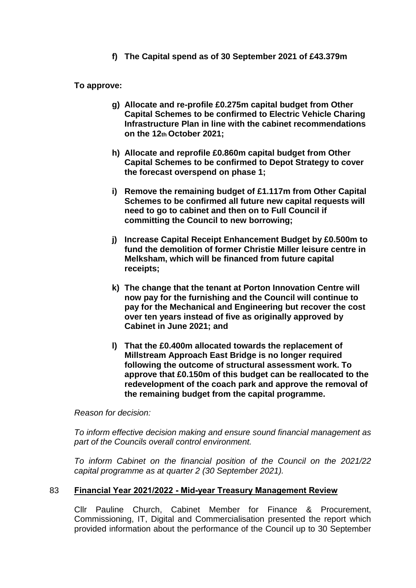**f) The Capital spend as of 30 September 2021 of £43.379m**

**To approve:**

- **g) Allocate and re-profile £0.275m capital budget from Other Capital Schemes to be confirmed to Electric Vehicle Charing Infrastructure Plan in line with the cabinet recommendations on the 12th October 2021;**
- **h) Allocate and reprofile £0.860m capital budget from Other Capital Schemes to be confirmed to Depot Strategy to cover the forecast overspend on phase 1;**
- **i) Remove the remaining budget of £1.117m from Other Capital Schemes to be confirmed all future new capital requests will need to go to cabinet and then on to Full Council if committing the Council to new borrowing;**
- **j) Increase Capital Receipt Enhancement Budget by £0.500m to fund the demolition of former Christie Miller leisure centre in Melksham, which will be financed from future capital receipts;**
- **k) The change that the tenant at Porton Innovation Centre will now pay for the furnishing and the Council will continue to pay for the Mechanical and Engineering but recover the cost over ten years instead of five as originally approved by Cabinet in June 2021; and**
- **l) That the £0.400m allocated towards the replacement of Millstream Approach East Bridge is no longer required following the outcome of structural assessment work. To approve that £0.150m of this budget can be reallocated to the redevelopment of the coach park and approve the removal of the remaining budget from the capital programme.**

*Reason for decision:*

*To inform effective decision making and ensure sound financial management as part of the Councils overall control environment.*

*To inform Cabinet on the financial position of the Council on the 2021/22 capital programme as at quarter 2 (30 September 2021).*

## 83 **Financial Year 2021/2022 - Mid-year Treasury Management Review**

Cllr Pauline Church, Cabinet Member for Finance & Procurement, Commissioning, IT, Digital and Commercialisation presented the report which provided information about the performance of the Council up to 30 September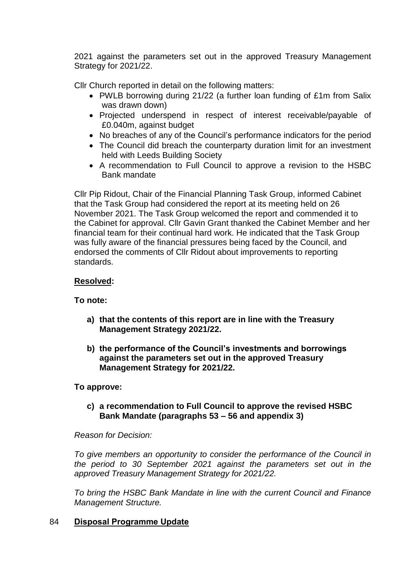2021 against the parameters set out in the approved Treasury Management Strategy for 2021/22.

Cllr Church reported in detail on the following matters:

- PWLB borrowing during 21/22 (a further loan funding of £1m from Salix was drawn down)
- Projected underspend in respect of interest receivable/payable of £0.040m, against budget
- No breaches of any of the Council's performance indicators for the period
- The Council did breach the counterparty duration limit for an investment held with Leeds Building Society
- A recommendation to Full Council to approve a revision to the HSBC Bank mandate

Cllr Pip Ridout, Chair of the Financial Planning Task Group, informed Cabinet that the Task Group had considered the report at its meeting held on 26 November 2021. The Task Group welcomed the report and commended it to the Cabinet for approval. Cllr Gavin Grant thanked the Cabinet Member and her financial team for their continual hard work. He indicated that the Task Group was fully aware of the financial pressures being faced by the Council, and endorsed the comments of Cllr Ridout about improvements to reporting standards.

# **Resolved:**

# **To note:**

- **a) that the contents of this report are in line with the Treasury Management Strategy 2021/22.**
- **b) the performance of the Council's investments and borrowings against the parameters set out in the approved Treasury Management Strategy for 2021/22.**

# **To approve:**

**c) a recommendation to Full Council to approve the revised HSBC Bank Mandate (paragraphs 53 – 56 and appendix 3)** 

## *Reason for Decision:*

*To give members an opportunity to consider the performance of the Council in the period to 30 September 2021 against the parameters set out in the approved Treasury Management Strategy for 2021/22.*

*To bring the HSBC Bank Mandate in line with the current Council and Finance Management Structure.*

## 84 **Disposal Programme Update**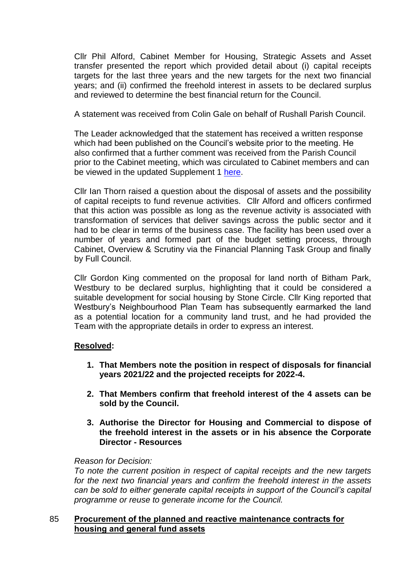Cllr Phil Alford, Cabinet Member for Housing, Strategic Assets and Asset transfer presented the report which provided detail about (i) capital receipts targets for the last three years and the new targets for the next two financial years; and (ii) confirmed the freehold interest in assets to be declared surplus and reviewed to determine the best financial return for the Council.

A statement was received from Colin Gale on behalf of Rushall Parish Council.

The Leader acknowledged that the statement has received a written response which had been published on the Council's website prior to the meeting. He also confirmed that a further comment was received from the Parish Council prior to the Cabinet meeting, which was circulated to Cabinet members and can be viewed in the updated Supplement 1 [here.](https://cms.wiltshire.gov.uk/ieListDocuments.aspx?CId=141&MId=13773&Ver=4)

Cllr Ian Thorn raised a question about the disposal of assets and the possibility of capital receipts to fund revenue activities. Cllr Alford and officers confirmed that this action was possible as long as the revenue activity is associated with transformation of services that deliver savings across the public sector and it had to be clear in terms of the business case. The facility has been used over a number of years and formed part of the budget setting process, through Cabinet, Overview & Scrutiny via the Financial Planning Task Group and finally by Full Council.

Cllr Gordon King commented on the proposal for land north of Bitham Park, Westbury to be declared surplus, highlighting that it could be considered a suitable development for social housing by Stone Circle. Cllr King reported that Westbury's Neighbourhood Plan Team has subsequently earmarked the land as a potential location for a community land trust, and he had provided the Team with the appropriate details in order to express an interest.

## **Resolved:**

- **1. That Members note the position in respect of disposals for financial years 2021/22 and the projected receipts for 2022-4.**
- **2. That Members confirm that freehold interest of the 4 assets can be sold by the Council.**
- **3. Authorise the Director for Housing and Commercial to dispose of the freehold interest in the assets or in his absence the Corporate Director - Resources**

## *Reason for Decision:*

*To note the current position in respect of capital receipts and the new targets for the next two financial years and confirm the freehold interest in the assets can be sold to either generate capital receipts in support of the Council's capital programme or reuse to generate income for the Council.*

## 85 **Procurement of the planned and reactive maintenance contracts for housing and general fund assets**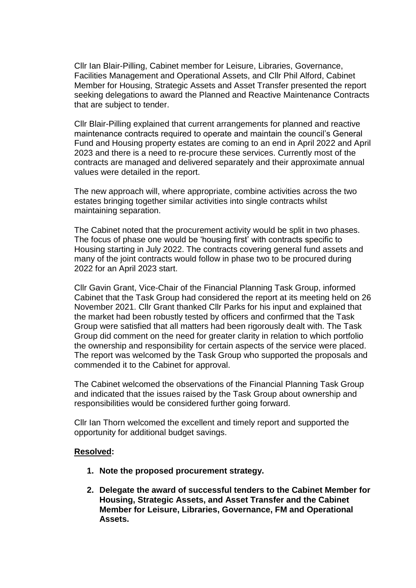Cllr Ian Blair-Pilling, Cabinet member for Leisure, Libraries, Governance, Facilities Management and Operational Assets, and Cllr Phil Alford, Cabinet Member for Housing, Strategic Assets and Asset Transfer presented the report seeking delegations to award the Planned and Reactive Maintenance Contracts that are subject to tender.

Cllr Blair-Pilling explained that current arrangements for planned and reactive maintenance contracts required to operate and maintain the council's General Fund and Housing property estates are coming to an end in April 2022 and April 2023 and there is a need to re-procure these services. Currently most of the contracts are managed and delivered separately and their approximate annual values were detailed in the report.

The new approach will, where appropriate, combine activities across the two estates bringing together similar activities into single contracts whilst maintaining separation.

The Cabinet noted that the procurement activity would be split in two phases. The focus of phase one would be 'housing first' with contracts specific to Housing starting in July 2022. The contracts covering general fund assets and many of the joint contracts would follow in phase two to be procured during 2022 for an April 2023 start.

Cllr Gavin Grant, Vice-Chair of the Financial Planning Task Group, informed Cabinet that the Task Group had considered the report at its meeting held on 26 November 2021. Cllr Grant thanked Cllr Parks for his input and explained that the market had been robustly tested by officers and confirmed that the Task Group were satisfied that all matters had been rigorously dealt with. The Task Group did comment on the need for greater clarity in relation to which portfolio the ownership and responsibility for certain aspects of the service were placed. The report was welcomed by the Task Group who supported the proposals and commended it to the Cabinet for approval.

The Cabinet welcomed the observations of the Financial Planning Task Group and indicated that the issues raised by the Task Group about ownership and responsibilities would be considered further going forward.

Cllr Ian Thorn welcomed the excellent and timely report and supported the opportunity for additional budget savings.

#### **Resolved:**

- **1. Note the proposed procurement strategy.**
- **2. Delegate the award of successful tenders to the Cabinet Member for Housing, Strategic Assets, and Asset Transfer and the Cabinet Member for Leisure, Libraries, Governance, FM and Operational Assets.**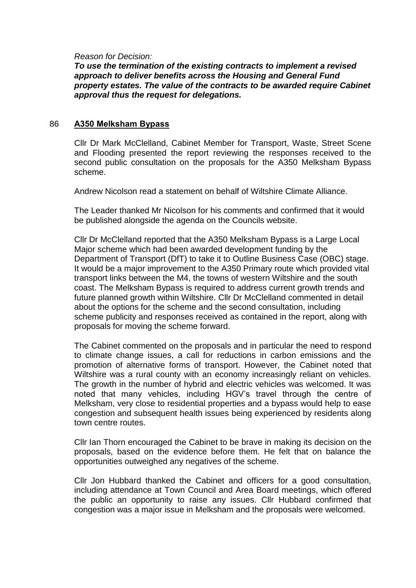#### *Reason for Decision:*

*To use the termination of the existing contracts to implement a revised approach to deliver benefits across the Housing and General Fund property estates. The value of the contracts to be awarded require Cabinet approval thus the request for delegations.*

#### 86 **A350 Melksham Bypass**

Cllr Dr Mark McClelland, Cabinet Member for Transport, Waste, Street Scene and Flooding presented the report reviewing the responses received to the second public consultation on the proposals for the A350 Melksham Bypass scheme.

Andrew Nicolson read a statement on behalf of Wiltshire Climate Alliance.

The Leader thanked Mr Nicolson for his comments and confirmed that it would be published alongside the agenda on the Councils website.

Cllr Dr McClelland reported that the A350 Melksham Bypass is a Large Local Major scheme which had been awarded development funding by the Department of Transport (DfT) to take it to Outline Business Case (OBC) stage. It would be a major improvement to the A350 Primary route which provided vital transport links between the M4, the towns of western Wiltshire and the south coast. The Melksham Bypass is required to address current growth trends and future planned growth within Wiltshire. Cllr Dr McClelland commented in detail about the options for the scheme and the second consultation, including scheme publicity and responses received as contained in the report, along with proposals for moving the scheme forward.

The Cabinet commented on the proposals and in particular the need to respond to climate change issues, a call for reductions in carbon emissions and the promotion of alternative forms of transport. However, the Cabinet noted that Wiltshire was a rural county with an economy increasingly reliant on vehicles. The growth in the number of hybrid and electric vehicles was welcomed. It was noted that many vehicles, including HGV's travel through the centre of Melksham, very close to residential properties and a bypass would help to ease congestion and subsequent health issues being experienced by residents along town centre routes.

Cllr Ian Thorn encouraged the Cabinet to be brave in making its decision on the proposals, based on the evidence before them. He felt that on balance the opportunities outweighed any negatives of the scheme.

Cllr Jon Hubbard thanked the Cabinet and officers for a good consultation, including attendance at Town Council and Area Board meetings, which offered the public an opportunity to raise any issues. Cllr Hubbard confirmed that congestion was a major issue in Melksham and the proposals were welcomed.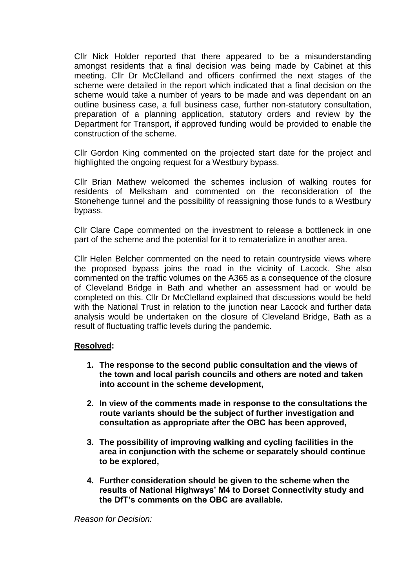Cllr Nick Holder reported that there appeared to be a misunderstanding amongst residents that a final decision was being made by Cabinet at this meeting. Cllr Dr McClelland and officers confirmed the next stages of the scheme were detailed in the report which indicated that a final decision on the scheme would take a number of years to be made and was dependant on an outline business case, a full business case, further non-statutory consultation, preparation of a planning application, statutory orders and review by the Department for Transport, if approved funding would be provided to enable the construction of the scheme.

Cllr Gordon King commented on the projected start date for the project and highlighted the ongoing request for a Westbury bypass.

Cllr Brian Mathew welcomed the schemes inclusion of walking routes for residents of Melksham and commented on the reconsideration of the Stonehenge tunnel and the possibility of reassigning those funds to a Westbury bypass.

Cllr Clare Cape commented on the investment to release a bottleneck in one part of the scheme and the potential for it to rematerialize in another area.

Cllr Helen Belcher commented on the need to retain countryside views where the proposed bypass joins the road in the vicinity of Lacock. She also commented on the traffic volumes on the A365 as a consequence of the closure of Cleveland Bridge in Bath and whether an assessment had or would be completed on this. Cllr Dr McClelland explained that discussions would be held with the National Trust in relation to the junction near Lacock and further data analysis would be undertaken on the closure of Cleveland Bridge, Bath as a result of fluctuating traffic levels during the pandemic.

#### **Resolved:**

- **1. The response to the second public consultation and the views of the town and local parish councils and others are noted and taken into account in the scheme development,**
- **2. In view of the comments made in response to the consultations the route variants should be the subject of further investigation and consultation as appropriate after the OBC has been approved,**
- **3. The possibility of improving walking and cycling facilities in the area in conjunction with the scheme or separately should continue to be explored,**
- **4. Further consideration should be given to the scheme when the results of National Highways' M4 to Dorset Connectivity study and the DfT's comments on the OBC are available.**

*Reason for Decision:*